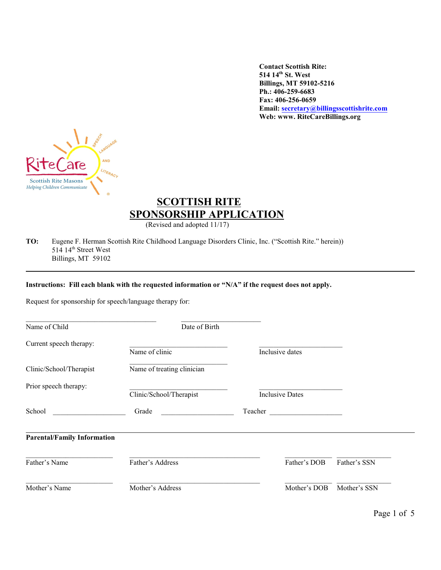**Contact Scottish Rite: 514 14 th St. West Billings, MT 59102-5216 Ph.: 406-259-6683 Fax: 406-256-0659 Email: [secretary@billingsscottishrite.com](mailto:secretary@billingsscottishrite.com) Web: www. RiteCareBillings.org**



# **SCOTTISH RITE SPONSORSHIP APPLICATION**

(Revised and adopted 11/17)

**TO:** Eugene F. Herman Scottish Rite Childhood Language Disorders Clinic, Inc. ("Scottish Rite." herein)) 514 14<sup>th</sup> Street West Billings, MT 59102

#### **Instructions: Fill each blank with the requested information or "N/A" if the request does not apply.**

Request for sponsorship for speech/language therapy for:

| Name of Child                      | Date of Birth              |         |                        |              |  |
|------------------------------------|----------------------------|---------|------------------------|--------------|--|
| Current speech therapy:            | Name of clinic             |         | Inclusive dates        |              |  |
| Clinic/School/Therapist            | Name of treating clinician |         |                        |              |  |
| Prior speech therapy:              | Clinic/School/Therapist    |         | <b>Inclusive Dates</b> |              |  |
| School                             | Grade                      | Teacher |                        |              |  |
| <b>Parental/Family Information</b> |                            |         |                        |              |  |
| Father's Name                      | Father's Address           |         | Father's DOB           | Father's SSN |  |
| Mother's Name                      | Mother's Address           |         | Mother's DOB           | Mother's SSN |  |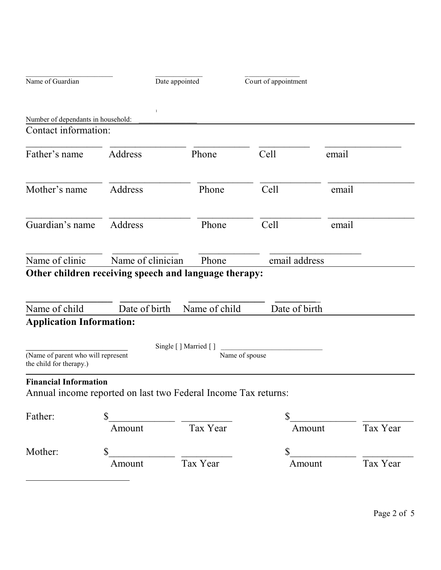|                                                               | Date appointed                                                 |                                          | Court of appointment |          |  |
|---------------------------------------------------------------|----------------------------------------------------------------|------------------------------------------|----------------------|----------|--|
|                                                               |                                                                |                                          |                      |          |  |
| Number of dependants in household:                            |                                                                |                                          |                      |          |  |
| Contact information:                                          |                                                                |                                          |                      |          |  |
| Father's name                                                 | Address                                                        | Phone                                    | Cell                 | email    |  |
| Mother's name                                                 | Address                                                        | Phone                                    | Cell                 | email    |  |
| Guardian's name                                               | Address                                                        | Phone                                    | Cell                 | email    |  |
| Name of clinic                                                | Name of clinician                                              | Phone                                    | email address        |          |  |
|                                                               | Other children receiving speech and language therapy:          |                                          |                      |          |  |
| Name of child                                                 | Date of birth                                                  | Name of child                            | Date of birth        |          |  |
|                                                               |                                                                |                                          |                      |          |  |
| <b>Application Information:</b>                               |                                                                |                                          |                      |          |  |
|                                                               |                                                                |                                          |                      |          |  |
| (Name of parent who will represent<br>the child for therapy.) |                                                                | Single [ ] Married [ ]<br>Name of spouse |                      |          |  |
| <b>Financial Information</b>                                  | Annual income reported on last two Federal Income Tax returns: |                                          |                      |          |  |
| Father:                                                       | $\mathbb{S}$                                                   |                                          | $\mathbb{S}$         |          |  |
|                                                               | Amount                                                         | Tax Year                                 | Amount               | Tax Year |  |
| Mother:                                                       | $\mathbb{S}$                                                   |                                          | $\mathbb{S}$         |          |  |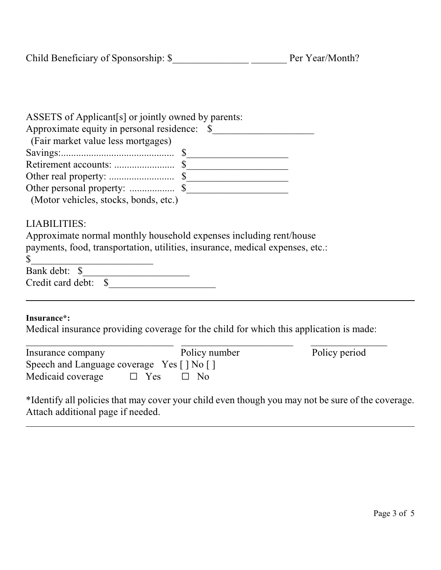|  |  |  | ASSETS of Applicant[s] or jointly owned by parents: |
|--|--|--|-----------------------------------------------------|
|--|--|--|-----------------------------------------------------|

| (Fair market value less mortgages)    |  |
|---------------------------------------|--|
|                                       |  |
|                                       |  |
|                                       |  |
|                                       |  |
| (Motor vehicles, stocks, bonds, etc.) |  |

### LIABILITIES:

|                      | Approximate normal monthly household expenses including rent/house            |  |
|----------------------|-------------------------------------------------------------------------------|--|
|                      | payments, food, transportation, utilities, insurance, medical expenses, etc.: |  |
|                      |                                                                               |  |
| Bank debt: \$        |                                                                               |  |
| Credit card debt: \$ |                                                                               |  |
|                      |                                                                               |  |
|                      |                                                                               |  |

### **Insurance\*:**

 $\overline{a}$ 

Medical insurance providing coverage for the child for which this application is made:

| Insurance company                         |            | Policy number | Policy period |
|-------------------------------------------|------------|---------------|---------------|
| Speech and Language coverage Yes [] No [] |            |               |               |
| Medicaid coverage                         | $\Box$ Yes | $\Box$ No     |               |

\*Identify all policies that may cover your child even though you may not be sure of the coverage. Attach additional page if needed.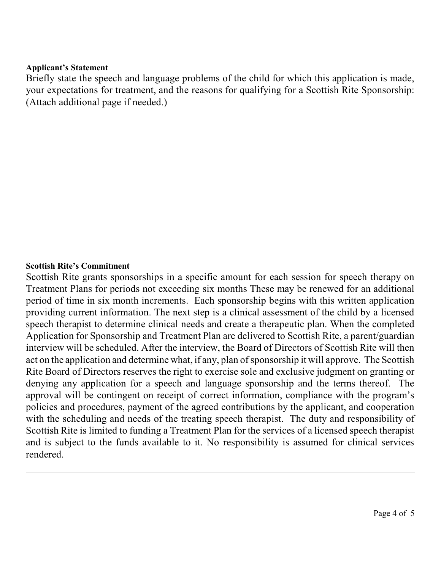#### **Applicant's Statement**

Briefly state the speech and language problems of the child for which this application is made, your expectations for treatment, and the reasons for qualifying for a Scottish Rite Sponsorship: (Attach additional page if needed.)

### **Scottish Rite's Commitment**

Scottish Rite grants sponsorships in a specific amount for each session for speech therapy on Treatment Plans for periods not exceeding six months These may be renewed for an additional period of time in six month increments. Each sponsorship begins with this written application providing current information. The next step is a clinical assessment of the child by a licensed speech therapist to determine clinical needs and create a therapeutic plan. When the completed Application for Sponsorship and Treatment Plan are delivered to Scottish Rite, a parent/guardian interview will be scheduled. After the interview, the Board of Directors of Scottish Rite will then act on the application and determine what, if any, plan of sponsorship it will approve. The Scottish Rite Board of Directors reserves the right to exercise sole and exclusive judgment on granting or denying any application for a speech and language sponsorship and the terms thereof. The approval will be contingent on receipt of correct information, compliance with the program's policies and procedures, payment of the agreed contributions by the applicant, and cooperation with the scheduling and needs of the treating speech therapist. The duty and responsibility of Scottish Rite is limited to funding a Treatment Plan for the services of a licensed speech therapist and is subject to the funds available to it. No responsibility is assumed for clinical services rendered.